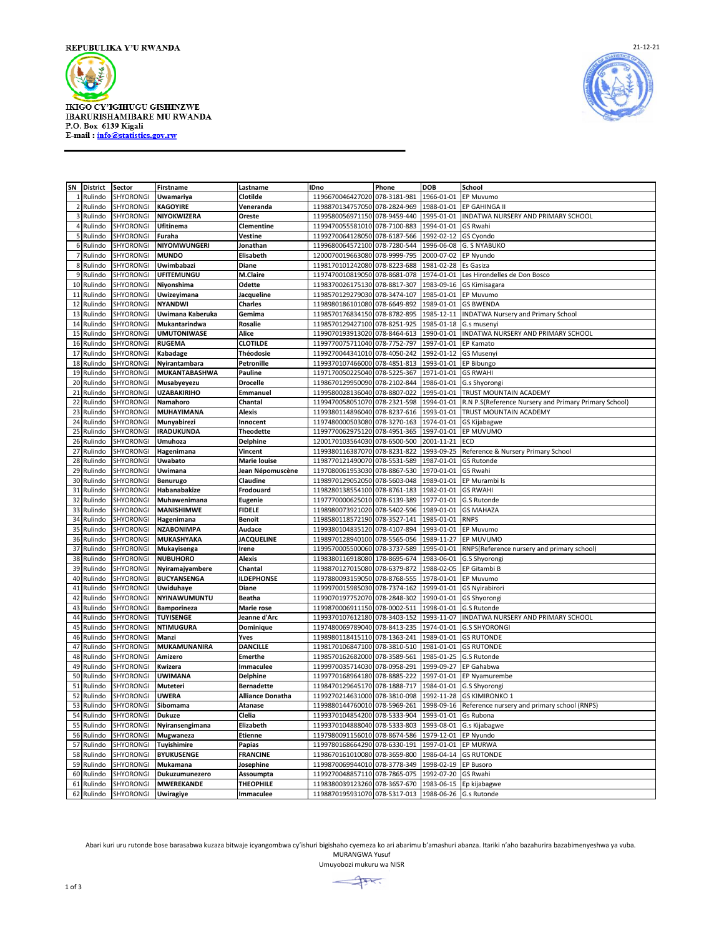

**IKIGO CY'IGIHUGU GISHINZWE IBARURISHAMIBARE MU RWANDA** P.O. Box 6139 Kigali<br>E-mail : info@statistics.gov.rw



| SN             | <b>District</b> | Sector           | Firstname                              | Lastname            | <b>IDno</b>                                          | Phone        | DOB        | School                                                |
|----------------|-----------------|------------------|----------------------------------------|---------------------|------------------------------------------------------|--------------|------------|-------------------------------------------------------|
|                | Rulindo         | SHYORONGI        | Uwamariya                              | Clotilde            | 1196670046427020                                     | 078-3181-981 | 1966-01-01 | EP Muvumo                                             |
| $\overline{2}$ | Rulindo         | SHYORONGI        | <b>KAGOYIRE</b>                        | Veneranda           | 1198870134757050                                     | 078-2824-969 | 1988-01-01 | EP GAHINGA II                                         |
| 3              | Rulindo         | SHYORONGI        | NIYOKWIZERA                            | Oreste              | 1199580056971150                                     | 078-9459-440 | 1995-01-01 | INDATWA NURSERY AND PRIMARY SCHOOL                    |
| $\overline{a}$ | Rulindo         | SHYORONGI        | Ufitinema                              | Clementine          | 1199470055581010 078-7100-883                        |              | 1994-01-01 | GS Rwahi                                              |
| 5 <sub>l</sub> | Rulindo         | SHYORONGI        | Furaha                                 | Vestine             | 1199270064128050                                     | 078-6187-566 | 1992-02-12 | GS Cyondo                                             |
| 6              | Rulindo         | SHYORONGI        | NIYOMWUNGERI                           | Jonathan            | 1199680064572100                                     | 078-7280-544 | 1996-06-08 | <b>G. S NYABUKO</b>                                   |
| 7              | Rulindo         | <b>SHYORONGI</b> | <b>MUNDO</b>                           | Elisabeth           | 1200070019663080 078-9999-795                        |              | 2000-07-02 | EP Nyundo                                             |
| 8              | Rulindo         | SHYORONGI        | Uwimbabazi                             | Diane               | 1198170101242080 078-8223-688                        |              | 1981-02-28 | Es Gasiza                                             |
| 9              | Rulindo         | SHYORONGI        | <b>UFITEMUNGU</b>                      | <b>M.Claire</b>     | 1197470010819050                                     | 078-8681-078 | 1974-01-01 | Les Hirondelles de Don Bosco                          |
| 10             |                 |                  |                                        |                     |                                                      |              |            |                                                       |
|                | Rulindo         | SHYORONGI        | Niyonshima                             | Odette              | 1198370026175130                                     | 078-8817-307 | 1983-09-16 | GS Kimisagara                                         |
| 11             | Rulindo         | SHYORONGI        | Uwizeyimana                            | Jacqueline          | 1198570129279030 078-3474-107                        |              | 1985-01-01 | EP Muvumo                                             |
| 12             | Rulindo         | <b>SHYORONGI</b> | <b>NYANDWI</b>                         | <b>Charles</b>      | 1198980186101080                                     | 078-6649-892 | 1989-01-01 | <b>GS BWENDA</b>                                      |
| 13             | Rulindo         | SHYORONGI        | Uwimana Kaberuka                       | Gemima              | 1198570176834150                                     | 078-8782-895 | 1985-12-11 | <b>INDATWA Nursery and Primary School</b>             |
| 14             | Rulindo         | <b>SHYORONGI</b> | Mukantarindwa                          | Rosalie             | 1198570129427100                                     | 078-8251-925 | 1985-01-18 | G.s musenyi                                           |
| 15             | Rulindo         | <b>SHYORONGI</b> | <b>UMUTONIWASE</b>                     | Alice               | 1199070193913020 078-8464-613                        |              | 1990-01-01 | INDATWA NURSERY AND PRIMARY SCHOOL                    |
| 16             | Rulindo         | SHYORONGI        | <b>RUGEMA</b>                          | <b>CLOTILDE</b>     | 1199770075711040                                     | 078-7752-797 | 1997-01-01 | EP Kamato                                             |
| 17             | Rulindo         | <b>SHYORONGI</b> | Kabadage                               | Théodosie           | 1199270044341010                                     | 078-4050-242 | 1992-01-12 | <b>GS Musenyi</b>                                     |
| 18             | Rulindo         | SHYORONGI        | Nyirantambara                          | Petronille          | 1199370107466000                                     | 078-4851-813 | 1993-01-01 | EP Bibungo                                            |
| 19             | Rulindo         | SHYORONGI        | <b>MUKANTABASHWA</b>                   | Pauline             | 1197170050225040                                     | 078-5225-367 | 1971-01-01 | <b>GS RWAHI</b>                                       |
| 20             | Rulindo         | SHYORONGI        | Musabyeyezu                            | <b>Drocelle</b>     | 1198670129950090                                     | 078-2102-844 | 1986-01-01 | G.s Shyorongi                                         |
| 21             | Rulindo         | SHYORONGI        | <b>UZABAKIRIHO</b>                     | Emmanuel            | 1199580028136040 078-8807-022                        |              | 1995-01-01 | TRUST MOUNTAIN ACADEMY                                |
| 22             | Rulindo         | SHYORONGI        | Namahoro                               | Chantal             | 1199470058051070                                     | 078-2321-598 | 1994-01-01 | R.N P.S(Reference Nursery and Primary Primary School) |
| 23             | Rulindo         | SHYORONGI        | <b>MUHAYIMANA</b>                      | Alexis              | 1199380114896040 078-8237-616                        |              | 1993-01-01 | TRUST MOUNTAIN ACADEMY                                |
| 24             | Rulindo         | SHYORONGI        | Munyabirezi                            | Innocent            | 1197480000503080                                     | 078-3270-163 | 1974-01-01 | GS Kijabagwe                                          |
| 25             | Rulindo         | SHYORONGI        | <b>IRADUKUNDA</b>                      | Theodette           | 1199770062975120                                     | 078-4951-365 | 1997-01-01 | EP MUVUMO                                             |
| 26             | Rulindo         | SHYORONGI        | Umuhoza                                | <b>Delphine</b>     | 1200170103564030                                     | 078-6500-500 | 2001-11-21 | ECD                                                   |
| 27             | Rulindo         | SHYORONGI        | Hagenimana                             | Vincent             | 1199380116387070                                     | 078-8231-822 | 1993-09-25 | Reference & Nursery Primary School                    |
| 28             | Rulindo         | <b>SHYORONGI</b> | <b>Uwabato</b>                         | <b>Marie louise</b> | 1198770121490070                                     | 078-5531-589 | 1987-01-01 | <b>GS Rutonde</b>                                     |
| 29             | Rulindo         | SHYORONGI        | Uwimana                                | Jean Népomuscène    | 1197080061953030                                     | 078-8867-530 | 1970-01-01 | <b>GS Rwahi</b>                                       |
| 30             | Rulindo         | SHYORONGI        | <b>Benurugo</b>                        | Claudine            | 1198970129052050                                     | 078-5603-048 | 1989-01-01 | EP Murambi Is                                         |
| 31             | Rulindo         | <b>SHYORONGI</b> | Habanabakize                           | Frodouard           | 1198280138554100 078-8761-183                        |              | 1982-01-01 | <b>GS RWAHI</b>                                       |
| 32             | Rulindo         | SHYORONGI        | Muhawenimana                           | Eugenie             | 1197770000625010 078-6139-389                        |              | 1977-01-01 | G.S Rutonde                                           |
| 33             | Rulindo         | <b>SHYORONGI</b> | <b>MANISHIMWE</b>                      | <b>FIDELE</b>       | 1198980073921020                                     | 078-5402-596 | 1989-01-01 | <b>GS MAHAZA</b>                                      |
| 34             | Rulindo         | SHYORONGI        | Hagenimana                             | <b>Benoit</b>       | 1198580118572190                                     | 078-3527-141 | 1985-01-01 | <b>RNPS</b>                                           |
| 35             | Rulindo         | SHYORONGI        | <b>NZABONIMPA</b>                      | Audace              | 1199380104835120                                     | 078-4107-894 | 1993-01-01 | EP Muvumo                                             |
| 36             | Rulindo         | SHYORONGI        | <b>MUKASHYAKA</b>                      | <b>JACQUELINE</b>   | 1198970128940100 078-5565-056                        |              | 1989-11-27 | EP MUVUMO                                             |
| 37             | Rulindo         | SHYORONGI        | Mukayisenga                            | Irene               | 1199570005500060                                     | 078-3737-589 | 1995-01-01 | RNPS(Reference nursery and primary school)            |
| 38             | Rulindo         | SHYORONGI        | <b>NUBUHORO</b>                        | Alexis              | 1198380116918080                                     | 178-8695-674 | 1983-06-01 | G.S Shyorongi                                         |
| 39             | Rulindo         | SHYORONGI        | Nyiramajyambere                        | Chantal             | 1198870127015080                                     | 078-6379-872 | 1988-02-05 | EP Gitambi B                                          |
| 40             | Rulindo         | SHYORONGI        | <b>BUCYANSENGA</b>                     | <b>ILDEPHONSE</b>   | 1197880093159050 078-8768-555                        |              | 1978-01-01 | EP Muvumo                                             |
| 41             | Rulindo         | <b>SHYORONGI</b> | Uwiduhaye                              | Diane               | 1199970015985030                                     | 078-7374-162 | 1999-01-01 | <b>GS Nyirabirori</b>                                 |
| 42             | Rulindo         | SHYORONGI        | <b>NYINAWUMUNTU</b>                    | <b>Beatha</b>       | 1199070197752070 078-2848-302                        |              | 1990-01-01 |                                                       |
| 43             | Rulindo         | SHYORONGI        |                                        | Marie rose          | 1199870006911150                                     | 078-0002-511 | 1998-01-01 | <b>GS Shyorongi</b><br><b>G.S Rutonde</b>             |
| 44             | Rulindo         | SHYORONGI        | <b>Bamporineza</b><br><b>TUYISENGE</b> | Jeanne d'Arc        | 1199370107612180                                     | 078-3403-152 | 1993-11-07 | INDATWA NURSERY AND PRIMARY SCHOOL                    |
| 45             |                 | SHYORONGI        | <b>NTIMUGURA</b>                       |                     | 1197480069789040 078-8413-235                        |              | 1974-01-01 | <b>G.S SHYORONGI</b>                                  |
| 46             | Rulindo         |                  | Manzi                                  | Dominique<br>Yves   |                                                      |              |            |                                                       |
|                | Rulindo         | SHYORONGI        |                                        |                     | 1198980118415110                                     | 078-1363-241 | 1989-01-01 | <b>GS RUTONDE</b>                                     |
| 47             | Rulindo         | <b>SHYORONGI</b> | <b>MUKAMUNANIRA</b>                    | <b>DANCILLE</b>     | 1198170106847100 078-3810-510                        |              | 1981-01-01 | <b>GS RUTONDE</b>                                     |
| 48             | Rulindo         | SHYORONGI        | Amizero                                | <b>Emerthe</b>      | 1198570162682000                                     | 078-3589-561 | 1985-01-25 | G.S Rutonde                                           |
| 49             | Rulindo         | SHYORONGI        | Kwizera                                | Immaculee           | 1199970035714030                                     | 078-0958-291 | 1999-09-27 | EP Gahabwa                                            |
| 50             | Rulindo         | SHYORONGI        | <b>UWIMANA</b>                         | <b>Delphine</b>     | 1199770168964180                                     | 078-8885-222 | 1997-01-01 | EP Nyamurembe                                         |
| 51             | Rulindo         | SHYORONGI        | Muteteri                               | <b>Bernadette</b>   | 1198470129645170                                     | 078-1888-717 | 1984-01-01 | G.S Shyorong                                          |
| 52             | Rulindo         | <b>SHYORONGI</b> | <b>UWERA</b>                           | Alliance Donatha    | 1199270214631000                                     | 078-3810-098 | 1992-11-28 | <b>GS KIMIRONKO 1</b>                                 |
| 53             | Rulindo         | SHYORONGI        | Sibomama                               | Atanase             | 1199880144760010                                     | 078-5969-261 | 1998-09-16 | Reference nursery and primary school (RNPS)           |
| 54             | Rulindo         | SHYORONGI        | <b>Dukuze</b>                          | Clelia              | 1199370104854200                                     | 078-5333-904 | 1993-01-01 | Gs Rubona                                             |
| 55             | Rulindo         | SHYORONGI        | Nyiransengimana                        | Elizabeth           | 1199370104888040 078-5333-803                        |              | 1993-08-01 | G.s Kijabagwe                                         |
|                | 56 Rulindo      | SHYORONGI        | Mugwaneza                              | <b>Etienne</b>      | 1197980091156010 078-8674-586                        |              | 1979-12-01 | EP Nyundo                                             |
| 57             | Rulindo         | SHYORONGI        | Tuyishimire                            | Papias              | 1199780168664290                                     | 078-6330-191 | 1997-01-01 | <b>EP MURWA</b>                                       |
| 58             | Rulindo         | SHYORONGI        | <b>BYUKUSENGE</b>                      | <b>FRANCINE</b>     | 1198670161010080                                     | 078-3659-800 | 1986-04-14 | <b>GS RUTONDE</b>                                     |
| 59             | Rulindo         | SHYORONGI        | Mukamana                               | Josephine           | 1199870069944010                                     | 078-3778-349 | 1998-02-19 | <b>EP Busoro</b>                                      |
| 60             | Rulindo         | SHYORONGI        | Dukuzumunezero                         | Assoumpta           | 1199270048857110 078-7865-075                        |              | 1992-07-20 | GS Rwahi                                              |
| 61             | Rulindo         | <b>SHYORONGI</b> | <b>MWEREKANDE</b>                      | <b>THEOPHILE</b>    | 1198380039123260 078-3657-670                        |              |            | 1983-06-15 Ep kijabagwe                               |
|                | 62 Rulindo      | <b>SHYORONGI</b> | <b>Uwiragiye</b>                       | Immaculee           | 1198870195931070 078-5317-013 1988-06-26 G.s Rutonde |              |            |                                                       |

Abari kuri uru rutonde bose barasabwa kuzaza bitwaje icyangombwa cy'ishuri bigishaho cyemeza ko ari abarimu b'amashuri abanza. Itariki n'aho bazahurira bazabimenyeshwa ya vuba. MURANGWA Yusuf

Umuyobozi mukuru wa NISR

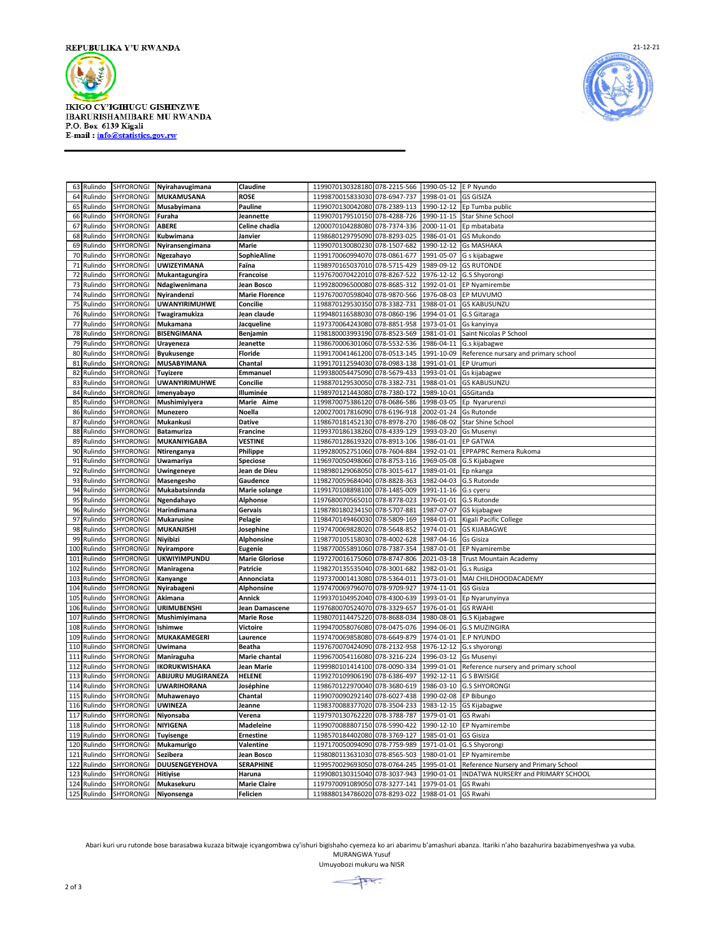

**IKIGO CY'IGIHUGU GISHINZWE IBARURISHAMIBARE MU RWANDA** P.O. Box 6139 Kigali<br>E-mail : info@statistics.gov.rw



|     | 63 Rulindo  | <b>SHYORONGI</b> | Nyirahavugimana       | Claudine              | 1199070130328180 078-2215-566 |              | 1990-05-12 E P Nyundo |                                      |
|-----|-------------|------------------|-----------------------|-----------------------|-------------------------------|--------------|-----------------------|--------------------------------------|
|     | 64 Rulindo  | SHYORONGI        | MUKAMUSANA            | <b>ROSE</b>           | 1199870015833030              | 078-6947-737 | 1998-01-01            | <b>GS GISIZA</b>                     |
|     | 65 Rulindo  | SHYORONGI        | Musabyimana           | Pauline               | 1199070130042080 078-2389-113 |              | 1990-12-12            | Ep Tumba public                      |
|     | 66 Rulindo  | SHYORONGI        | Furaha                | Jeannette             | 1199070179510150 078-4288-726 |              | 1990-11-15            | <b>Star Shine School</b>             |
| 67  | Rulindo     | SHYORONGI        | ABERE                 | Celine chadia         | 1200070104288080              | 078-7374-336 | 2000-11-01            | Ep mbatabata                         |
| 68  | Rulindo     | SHYORONGI        | Kubwimana             | Janvier               | 1198680129795090              | 078-8293-025 | 1986-01-01            | <b>GS Mukondo</b>                    |
| 69  | Rulindo     | SHYORONGI        | Nyiransengimana       | Marie                 | 1199070130080230              | 078-1507-682 | 1990-12-12            | <b>Gs MASHAKA</b>                    |
|     | 70 Rulindo  | SHYORONGI        | Ngezahayo             | SophieAline           | 1199170060994070 078-0861-677 |              | 1991-05-07            | G s kijabagwe                        |
| 71  | Rulindo     | SHYORONGI        | UWIZEYIMANA           | Faïna                 | 1198970165037010 078-5715-429 |              | 1989-09-12            | <b>GS RUTONDE</b>                    |
| 72  | Rulindo     | SHYORONGI        | Mukantagungira        | Francoise             | 1197670070422010              | 078-8267-522 | 1976-12-12            | G.S Shyorongi                        |
| 73  | Rulindo     | SHYORONGI        | Ndagiwenimana         | Jean Bosco            | 1199280096500080              | 078-8685-312 | 1992-01-01            | EP Nyamirembe                        |
|     | 74 Rulindo  | SHYORONGI        | Nyirandenzi           | <b>Marie Florence</b> | 1197670070598040 078-9870-566 |              | 1976-08-03            | EP MUVUMO                            |
|     | 75 Rulindo  | SHYORONGI        | <b>UWANYIRIMUHWE</b>  | Concilie              | 1198870129530350 078-3382-731 |              | 1988-01-01            | <b>GS KABUSUNZU</b>                  |
| 76  | Rulindo     | SHYORONGI        | Twagiramukiza         | Jean claude           | 1199480116588030 078-0860-196 |              | 1994-01-01            | G.S Gitaraga                         |
| 77  | Rulindo     | SHYORONGI        | Mukamana              | Jacqueline            | 1197370064243080 078-8851-958 |              | 1973-01-01            | Gs kanyinya                          |
|     | 78 Rulindo  | SHYORONGI        | <b>BISENGIMANA</b>    | Benjamin              | 1198180003993190 078-8523-569 |              | 1981-01-01            | Saint Nicolas P School               |
| 79  | Rulindo     | SHYORONGI        | Urayeneza             | Jeanette              | 1198670006301060 078-5532-536 |              | 1986-04-11            | G.s kijabagwe                        |
| 80  | Rulindo     | SHYORONGI        | <b>Byukusenge</b>     | <b>Floride</b>        | 1199170041461200              | 078-0513-145 | 1991-10-09            | Reference nursary and primary school |
| 81  | Rulindo     | SHYORONGI        | <b>MUSABYIMANA</b>    | Chantal               | 1199170112594030 078-0983-138 |              | 1991-01-01            | EP Urumuri                           |
| 82  | Rulindo     | SHYORONGI        | Tuyizere              | Emmanuel              | 1199380054475090 078-5679-433 |              | 1993-01-01            | Gs kijabagwe                         |
|     | 83 Rulindo  | SHYORONGI        | <b>UWANYIRIMUHWE</b>  | Concilie              | 1198870129530050 078-3382-731 |              | 1988-01-01            | <b>GS KABUSUNZU</b>                  |
| 84  | Rulindo     | SHYORONGI        | Imenyabayo            | Illuminée             | 1198970121443080              | 078-7380-172 | 1989-10-01            | GSGitanda                            |
| 85  | Rulindo     | SHYORONGI        | Mushimiyiyera         | Marie Aime            | 1199870075386120              | 078-0686-586 | 1998-03-05            | Ep Nyarurenzi                        |
| 86  | Rulindo     | SHYORONGI        | <b>Munezero</b>       | Noella                | 1200270017816090 078-6196-918 |              | 2002-01-24            | Gs Rutonde                           |
|     | 87 Rulindo  | SHYORONGI        | Mukankusi             | <b>Dative</b>         | 1198670181452130 078-8978-270 |              | 1986-08-02            | Star Shine School                    |
| 88  | Rulindo     | SHYORONGI        | <b>Batamuriza</b>     | Francine              | 1199370186138260              | 078-4339-129 | 1993-03-20            | <b>Gs Musenyi</b>                    |
| 89  | Rulindo     | SHYORONGI        | MUKANIYIGABA          | VESTINE               | 1198670128619320              | 078-8913-106 | 1986-01-01            | EP GATWA                             |
|     | 90 Rulindo  | SHYORONGI        | Ntirenganya           | Philippe              | 1199280052751060 078-7604-884 |              | 1992-01-01            | EPPAPRC Remera Rukoma                |
|     | 91 Rulindo  | SHYORONGI        | <b>Uwamariya</b>      | <b>Speciose</b>       | 1196970050498060 078-8753-116 |              | 1969-05-08            | G.S Kijabagwe                        |
| 92  | Rulindo     | SHYORONGI        | Uwingeneye            | Jean de Dieu          | 1198980129068050 078-3015-617 |              | 1989-01-01            | Ep nkanga                            |
| 93  | Rulindo     | SHYORONGI        | Masengesho            | Gaudence              | 1198270059684040              | 078-8828-363 | 1982-04-03            | G.S Rutonde                          |
| 94  | Rulindo     | SHYORONGI        | Mukabatsinnda         | <b>Marie solange</b>  | 1199170108898100 078-1485-009 |              | 1991-11-16            | G.s cyeru                            |
|     | 95 Rulindo  | SHYORONGI        | Ngendahayo            | Alphonse              | 1197680070565010 078-8778-023 |              | 1976-01-01            | G.S Rutonde                          |
| 96  | Rulindo     | SHYORONGI        | Harindimana           | Gervais               | 1198780180234150 078-5707-881 |              | 1987-07-07            | GS kijabagwe                         |
| 97  | Rulindo     | SHYORONGI        | <b>Mukarusine</b>     | Pelagie               | 1198470149460030 078-5809-169 |              | 1984-01-01            | Kigali Pacific College               |
| 98  | Rulindo     | SHYORONGI        | <b>MUKANJISHI</b>     | Josephine             | 1197470069828020              | 078-5648-852 | 1974-01-01            | <b>GS KIJABAGWE</b>                  |
| 99  | Rulindo     | SHYORONGI        | <b>Niyibizi</b>       | Alphonsine            | 1198770105158030 078-4002-628 |              | 1987-04-16            | <b>Gs Gisiza</b>                     |
| 100 | Rulindo     | SHYORONGI        | <b>Nyirampore</b>     | Eugenie               | 1198770055891060 078-7387-354 |              | 1987-01-01            | EP Nyamirembe                        |
| 101 | Rulindo     | SHYORONGI        | <b>UKWIYIMPUNDU</b>   | <b>Marie Gloriose</b> | 1197270016175060              | 078-8747-806 | 2021-03-18            | <b>Trust Mountain Academy</b>        |
| 102 | Rulindo     | SHYORONGI        | Maniragena            | Patricie              | 1198270135535040 078-3001-682 |              | 1982-01-01            | G.s Rusiga                           |
| 103 | Rulindo     | SHYORONGI        | Kanyange              | Annonciata            | 1197370001413080 078-5364-011 |              | 1973-01-01            | MAI CHILDHOODACADEMY                 |
| 104 | Rulindo     | SHYORONGI        | Nyirabageni           | Alphonsine            | 1197470069796070 078-9709-927 |              | 1974-11-01            | GS Gisiza                            |
| 105 | Rulindo     | SHYORONGI        | Akimana               | Annick                | 1199370104952040 078-4300-639 |              | 1993-01-01            | Ep Nyarunyinya                       |
| 106 | Rulindo     | SHYORONGI        | <b>URIMUBENSHI</b>    | Jean Damascene        | 1197680070524070 078-3329-657 |              | 1976-01-01            | <b>GS RWAHI</b>                      |
| 107 | Rulindo     | SHYORONGI        | Mushimiyimana         | <b>Marie Rose</b>     | 1198070114475220 078-8688-034 |              | 1980-08-01            | G.S Kijabagwe                        |
| 108 | Rulindo     | SHYORONGI        | Ishimwe               | Victoire              | 1199470058076080 078-0475-076 |              | 1994-06-01            | <b>G.S MUZINGIRA</b>                 |
| 109 | Rulindo     | SHYORONGI        | MUKAKAMEGERI          | Laurence              | 1197470069858080              | 078-6649-879 | 1974-01-01            | <b>E.P NYUNDO</b>                    |
| 110 | Rulindo     | SHYORONGI        | Uwimana               | Beatha                | 1197670070424090              | 078-2132-958 | 1976-12-12            | G.s shyorong                         |
| 111 | Rulindo     | SHYORONGI        | Maniraguha            | <b>Marie chantal</b>  | 1199670054116080              | 078-3216-224 | 1996-03-12            | <b>Gs Musenyi</b>                    |
| 112 | Rulindo     | SHYORONGI        | <b>IKORUKWISHAKA</b>  | Jean Marie            | 1199980101414100 078-0090-334 |              | 1999-01-01            | Reference nursery and primary school |
| 113 | Rulindo     | SHYORONGI        | ABIJURU MUGIRANEZA    | <b>HELENE</b>         | 1199270109906190              | 078-6386-497 | 1992-12-11            | G S BWISIGE                          |
| 114 | Rulindo     | SHYORONGI        | <b>UWARIHORANA</b>    | Joséphine             | 1198670122970040              | 078-3680-619 | 1986-03-10            | <b>G.S SHYORONGI</b>                 |
| 115 | Rulindo     | SHYORONGI        | Muhawenayo            | Chantal               | 1199070090292140 078-6027-438 |              | 1990-02-08            | EP Bibungo                           |
|     | 116 Rulindo | SHYORONGI        | <b>UWINEZA</b>        | Jeanne                | 1198370088377020 078-3504-233 |              |                       | 1983-12-15 GS Kijabagwe              |
|     | 117 Rulindo | <b>SHYORONGI</b> | Niyonsaba             | Verena                | 1197970130762220 078-3788-787 |              | 1979-01-01 GS Rwahi   |                                      |
|     | 118 Rulindo | SHYORONGI        | <b>NIYIGENA</b>       | Madeleine             | 1199070088807150 078-5990-422 |              | 1990-12-10            | EP Nyamirembe                        |
|     | 119 Rulindo | SHYORONGI        | <b>Tuyisenge</b>      | Ernestine             | 1198570184402080 078-3769-127 |              | 1985-01-01            | GS Gisiza                            |
|     | 120 Rulindo | SHYORONGI        | Mukamurigo            | Valentine             | 1197170050094090 078-7759-989 |              | 1971-01-01            | G.S Shyorongi                        |
| 121 | Rulindo     | SHYORONGI        | Sezibera              | Jean Bosco            | 1198080113631030 078-8565-503 |              | 1980-01-01            | EP Nyamirembe                        |
| 122 | Rulindo     | SHYORONGI        | <b>DUUSENGEYEHOVA</b> | <b>SERAPHINE</b>      | 1199570029693050 078-0764-245 |              | 1995-01-01            | Reference Nursery and Primary School |
| 123 | Rulindo     | <b>SHYORONGI</b> | <b>Hitiyise</b>       | Haruna                | 1199080130315040 078-3037-943 |              | 1990-01-01            | INDATWA NURSERY and PRIMARY SCHOOL   |
|     | 124 Rulindo | SHYORONGI        | Mukasekuru            | <b>Marie Claire</b>   | 1197970091089050 078-3277-141 |              | 1979-01-01            | GS Rwahi                             |
|     | 125 Rulindo | SHYORONGI        | Niyonsenga            | Felicien              | 1198880134786020 078-8293-022 |              | 1988-01-01            | GS Rwahi                             |

Abari kuri uru rutonde bose barasabwa kuzaza bitwaje icyangombwa cy'ishuri bigishaho cyemeza ko ari abarimu b'amashuri abanza. Itariki n'aho bazahurira bazabimenyeshwa ya vuba. MURANGWA Yusuf

Umuyobozi mukuru wa NISR